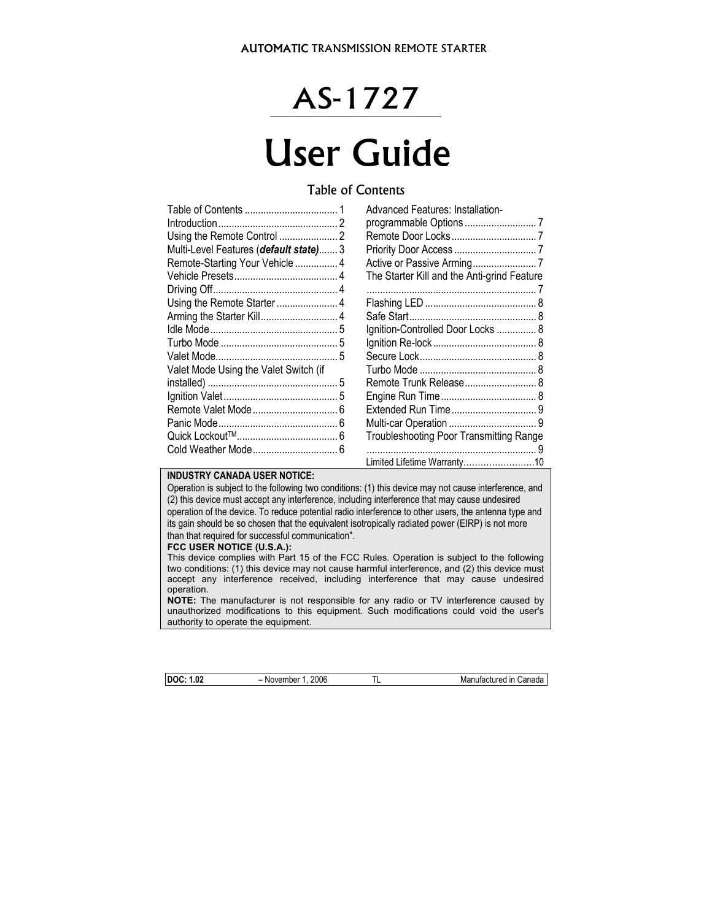## AS-1727

# User Guide

## Table of Contents

|                                        | <b>Advanced Features: Installation-</b>        |
|----------------------------------------|------------------------------------------------|
|                                        |                                                |
|                                        |                                                |
| Multi-Level Features (default state) 3 |                                                |
| Remote-Starting Your Vehicle  4        |                                                |
|                                        | The Starter Kill and the Anti-grind Feature    |
|                                        |                                                |
|                                        |                                                |
|                                        |                                                |
|                                        | Ignition-Controlled Door Locks  8              |
|                                        |                                                |
|                                        |                                                |
| Valet Mode Using the Valet Switch (if  |                                                |
|                                        |                                                |
|                                        |                                                |
|                                        |                                                |
|                                        |                                                |
|                                        | <b>Troubleshooting Poor Transmitting Range</b> |
|                                        |                                                |
|                                        | Limited Lifetime Warranty10                    |

#### **INDUSTRY CANADA USER NOTICE:**

Operation is subject to the following two conditions: (1) this device may not cause interference, and (2) this device must accept any interference, including interference that may cause undesired operation of the device. To reduce potential radio interference to other users, the antenna type and its gain should be so chosen that the equivalent isotropically radiated power (EIRP) is not more than that required for successful communication".

#### **FCC USER NOTICE (U.S.A.):**

This device complies with Part 15 of the FCC Rules. Operation is subject to the following two conditions: (1) this device may not cause harmful interference, and (2) this device must accept any interference received, including interference that may cause undesired operation.

**NOTE:** The manufacturer is not responsible for any radio or TV interference caused by unauthorized modifications to this equipment. Such modifications could void the user's authority to operate the equipment.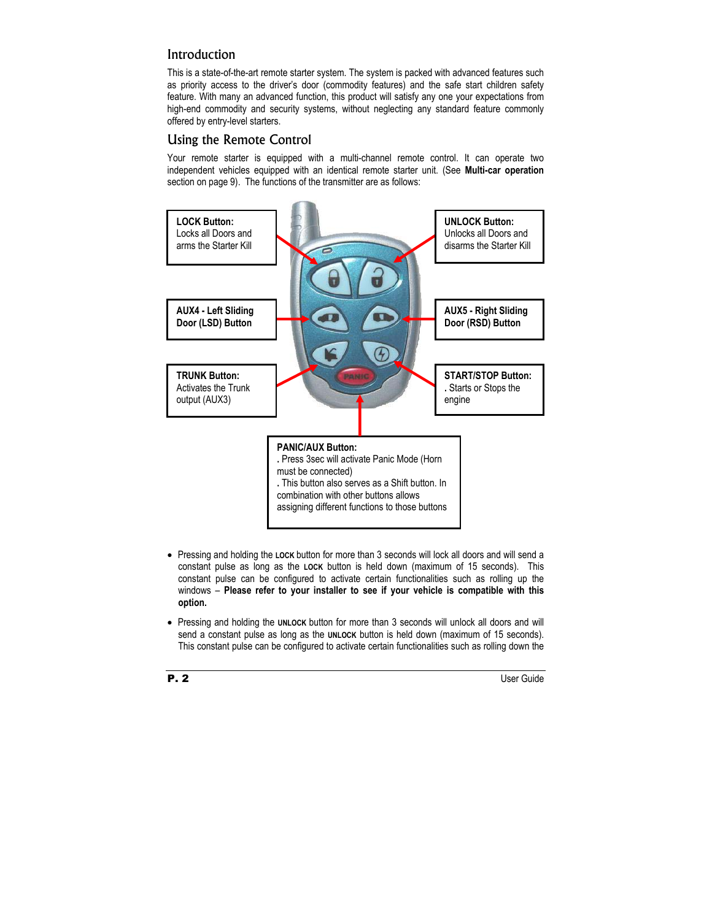## Introduction

This is a state-of-the-art remote starter system. The system is packed with advanced features such as priority access to the driver's door (commodity features) and the safe start children safety feature. With many an advanced function, this product will satisfy any one your expectations from high-end commodity and security systems, without neglecting any standard feature commonly offered by entry-level starters.

## Using the Remote Control

Your remote starter is equipped with a multi-channel remote control. It can operate two independent vehicles equipped with an identical remote starter unit. (See **Multi-car operation**  section on page 9). The functions of the transmitter are as follows:



- Pressing and holding the **LOCK** button for more than 3 seconds will lock all doors and will send a constant pulse as long as the **LOCK** button is held down (maximum of 15 seconds). This constant pulse can be configured to activate certain functionalities such as rolling up the windows – **Please refer to your installer to see if your vehicle is compatible with this option.**
- Pressing and holding the **UNLOCK** button for more than 3 seconds will unlock all doors and will send a constant pulse as long as the **UNLOCK** button is held down (maximum of 15 seconds). This constant pulse can be configured to activate certain functionalities such as rolling down the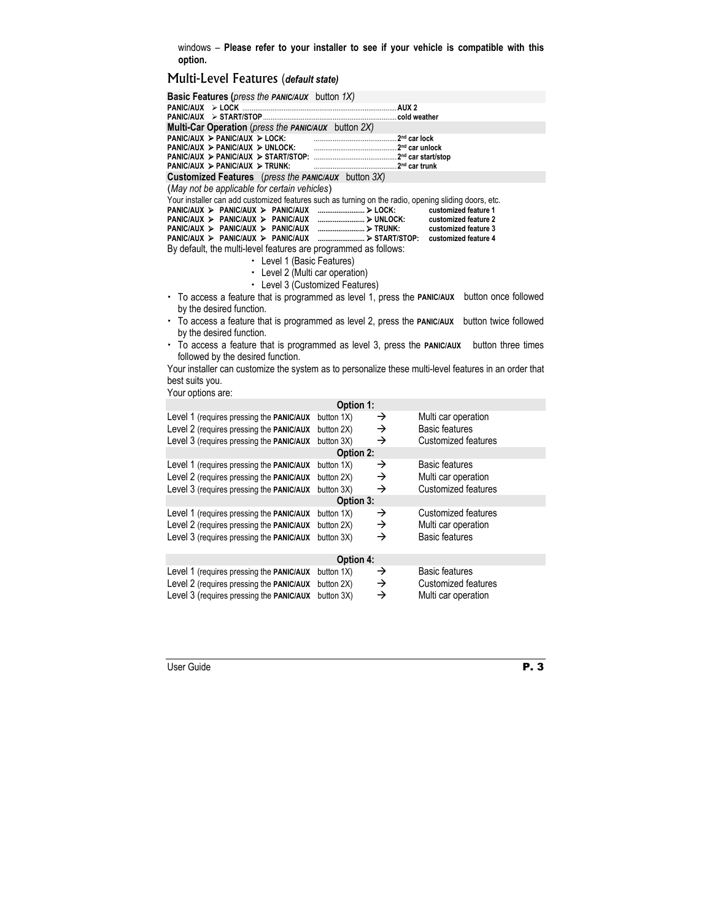windows – **Please refer to your installer to see if your vehicle is compatible with this option.**

## Multi-Level Features (*default state)*

| Basic Features (press the PANIC/AUX button 1X)                                                                                                       |                                 |                                                                                                       |  |  |  |
|------------------------------------------------------------------------------------------------------------------------------------------------------|---------------------------------|-------------------------------------------------------------------------------------------------------|--|--|--|
|                                                                                                                                                      |                                 |                                                                                                       |  |  |  |
| Multi-Car Operation (press the PANIC/AUX button 2X)                                                                                                  |                                 |                                                                                                       |  |  |  |
| PANIC/AUX > PANIC/AUX > LOCK:                                                                                                                        |                                 |                                                                                                       |  |  |  |
| $PANIC/AUX \geq PANIC/AUX \geq UNLOCK$ :                                                                                                             |                                 |                                                                                                       |  |  |  |
|                                                                                                                                                      |                                 |                                                                                                       |  |  |  |
| $PANIC/AUX \geq PANIC/AUX \geq TRUNK$                                                                                                                |                                 |                                                                                                       |  |  |  |
| <b>Customized Features</b> (press the PANIC/AUX button 3X)                                                                                           |                                 |                                                                                                       |  |  |  |
| (May not be applicable for certain vehicles)<br>Your installer can add customized features such as turning on the radio, opening sliding doors, etc. |                                 |                                                                                                       |  |  |  |
| PANIC/AUX > PANIC/AUX > PANIC/AUX<br>PANIC/AUX > PANIC/AUX > PANIC/AUX                                                                               | > LOCK:                         | customized feature 1<br>customized feature 2                                                          |  |  |  |
| PANIC/AUX > PANIC/AUX > PANIC/AUX<br>$PANIC/AUX$ > $PANIC/AUX$ > $PANIC/AUX$                                                                         |                                 | customized feature 3<br>customized feature 4                                                          |  |  |  |
| By default, the multi-level features are programmed as follows:                                                                                      |                                 |                                                                                                       |  |  |  |
| • Level 1 (Basic Features)                                                                                                                           |                                 |                                                                                                       |  |  |  |
| • Level 2 (Multi car operation)                                                                                                                      |                                 |                                                                                                       |  |  |  |
|                                                                                                                                                      | • Level 3 (Customized Features) |                                                                                                       |  |  |  |
| To access a feature that is programmed as level 1, press the PANIC/AUX<br>by the desired function.                                                   |                                 | button once followed                                                                                  |  |  |  |
| • To access a feature that is programmed as level 2, press the PANIC/AUX                                                                             |                                 | button twice followed                                                                                 |  |  |  |
| by the desired function.                                                                                                                             |                                 |                                                                                                       |  |  |  |
| To access a feature that is programmed as level 3, press the PANIC/AUX<br>followed by the desired function.                                          |                                 | button three times                                                                                    |  |  |  |
|                                                                                                                                                      |                                 | Your installer can customize the system as to personalize these multi-level features in an order that |  |  |  |
| best suits you.                                                                                                                                      |                                 |                                                                                                       |  |  |  |
| Your options are:                                                                                                                                    |                                 |                                                                                                       |  |  |  |
|                                                                                                                                                      | Option 1:                       |                                                                                                       |  |  |  |
| Level 1 (requires pressing the PANIC/AUX                                                                                                             | button 1X)<br>→                 | Multi car operation                                                                                   |  |  |  |
| Level 2 (requires pressing the PANIC/AUX                                                                                                             | $\rightarrow$<br>button 2X)     | <b>Basic features</b>                                                                                 |  |  |  |
| Level 3 (requires pressing the PANIC/AUX                                                                                                             | $\rightarrow$<br>button 3X)     | Customized features                                                                                   |  |  |  |
|                                                                                                                                                      | Option 2:                       |                                                                                                       |  |  |  |
| Level 1 (requires pressing the PANIC/AUX                                                                                                             | button 1X)<br>→                 | <b>Basic features</b>                                                                                 |  |  |  |
| Level 2 (requires pressing the PANIC/AUX                                                                                                             | →<br>button 2X)                 | Multi car operation                                                                                   |  |  |  |
| Level 3 (requires pressing the PANIC/AUX                                                                                                             | $\rightarrow$<br>button 3X)     | Customized features                                                                                   |  |  |  |
| Option 3:                                                                                                                                            |                                 |                                                                                                       |  |  |  |
| Level 1 (requires pressing the PANIC/AUX                                                                                                             | button 1X)<br>→                 | Customized features                                                                                   |  |  |  |
| Level 2 (requires pressing the PANIC/AUX                                                                                                             | $\rightarrow$<br>button 2X)     | Multi car operation                                                                                   |  |  |  |
| Level 3 (requires pressing the PANIC/AUX                                                                                                             | $\rightarrow$<br>button 3X)     | <b>Basic features</b>                                                                                 |  |  |  |
| Option 4:                                                                                                                                            |                                 |                                                                                                       |  |  |  |
| Level 1 (requires pressing the PANIC/AUX                                                                                                             | button 1X)<br>→                 | <b>Basic features</b>                                                                                 |  |  |  |
| Level 2 (requires pressing the PANIC/AUX                                                                                                             | →<br>button 2X)                 | <b>Customized features</b>                                                                            |  |  |  |
| Level 3 (requires pressing the PANIC/AUX                                                                                                             | $\rightarrow$<br>button 3X)     | Multi car operation                                                                                   |  |  |  |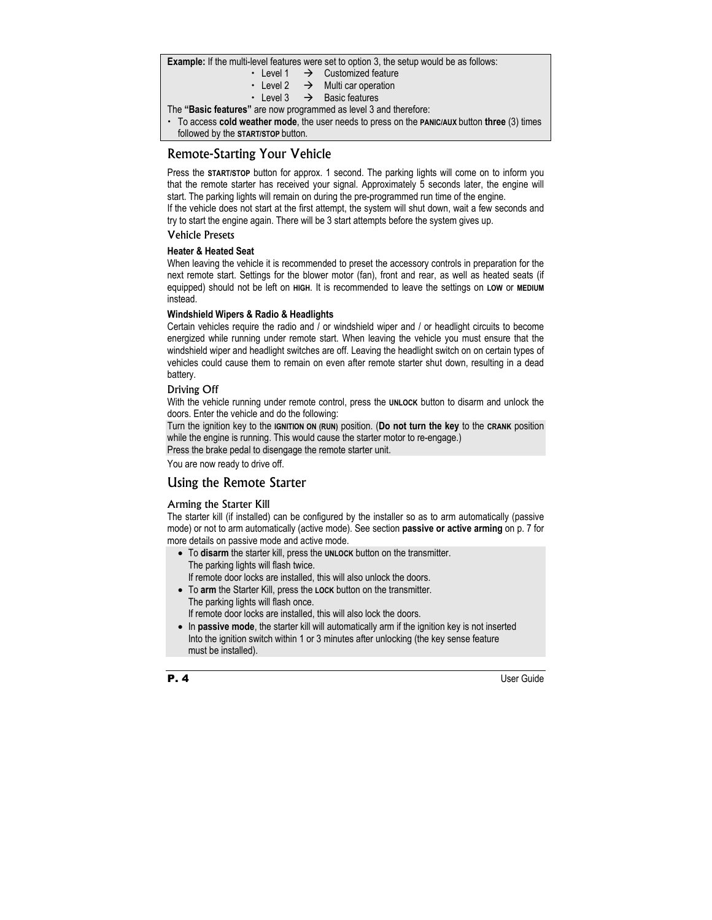**Example:** If the multi-level features were set to option 3, the setup would be as follows:

- Level 1  $\rightarrow$  Customized feature
- $\cdot$  Level 2  $\rightarrow$  Multi car operation
- $\cdot$  Level 3  $\rightarrow$  Basic features

The **"Basic features"** are now programmed as level 3 and therefore:

x To access **cold weather mode**, the user needs to press on the **PANIC/AUX** button **three** (3) times followed by the **START/STOP** button.

## Remote-Starting Your Vehicle

Press the **START/STOP** button for approx. 1 second. The parking lights will come on to inform you that the remote starter has received your signal. Approximately 5 seconds later, the engine will start. The parking lights will remain on during the pre-programmed run time of the engine.

If the vehicle does not start at the first attempt, the system will shut down, wait a few seconds and try to start the engine again. There will be 3 start attempts before the system gives up.

#### Vehicle Presets

#### **Heater & Heated Seat**

When leaving the vehicle it is recommended to preset the accessory controls in preparation for the next remote start. Settings for the blower motor (fan), front and rear, as well as heated seats (if equipped) should not be left on **HIGH**. It is recommended to leave the settings on **LOW** or **MEDIUM** instead.

#### **Windshield Wipers & Radio & Headlights**

Certain vehicles require the radio and / or windshield wiper and / or headlight circuits to become energized while running under remote start. When leaving the vehicle you must ensure that the windshield wiper and headlight switches are off. Leaving the headlight switch on on certain types of vehicles could cause them to remain on even after remote starter shut down, resulting in a dead battery.

#### Driving Off

With the vehicle running under remote control, press the **UNLOCK** button to disarm and unlock the doors. Enter the vehicle and do the following:

Turn the ignition key to the **IGNITION ON (RUN)** position. (**Do not turn the key** to the **CRANK** position while the engine is running. This would cause the starter motor to re-engage.)

Press the brake pedal to disengage the remote starter unit.

You are now ready to drive off.

## Using the Remote Starter

#### Arming the Starter Kill

The starter kill (if installed) can be configured by the installer so as to arm automatically (passive mode) or not to arm automatically (active mode). See section **passive or active arming** on p. 7 for more details on passive mode and active mode.

- To **disarm** the starter kill, press the **UNLOCK** button on the transmitter. The parking lights will flash twice. If remote door locks are installed, this will also unlock the doors.
- To **arm** the Starter Kill, press the **LOCK** button on the transmitter. The parking lights will flash once. If remote door locks are installed, this will also lock the doors.
- In **passive mode**, the starter kill will automatically arm if the ignition key is not inserted Into the ignition switch within 1 or 3 minutes after unlocking (the key sense feature must be installed).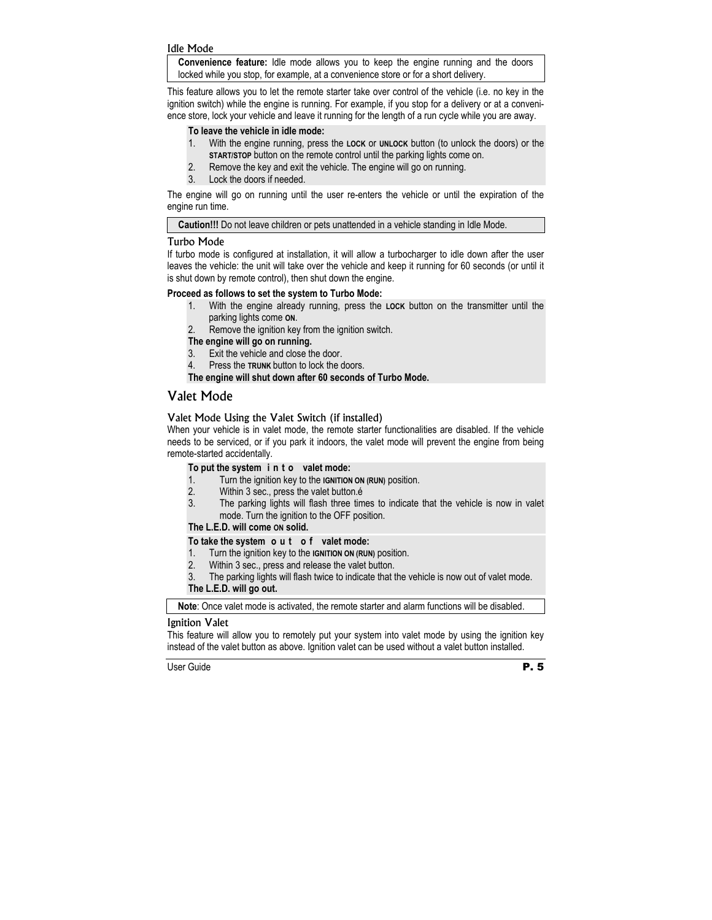#### Idle Mode

**Convenience feature:** Idle mode allows you to keep the engine running and the doors locked while you stop, for example, at a convenience store or for a short delivery.

This feature allows you to let the remote starter take over control of the vehicle (i.e. no key in the ignition switch) while the engine is running. For example, if you stop for a delivery or at a convenience store, lock your vehicle and leave it running for the length of a run cycle while you are away.

#### **To leave the vehicle in idle mode:**

- 1. With the engine running, press the **LOCK** or **UNLOCK** button (to unlock the doors) or the **START/STOP** button on the remote control until the parking lights come on.
- 2. Remove the key and exit the vehicle. The engine will go on running.
- 3. Lock the doors if needed.

The engine will go on running until the user re-enters the vehicle or until the expiration of the engine run time.

**Caution!!!** Do not leave children or pets unattended in a vehicle standing in Idle Mode.

#### Turbo Mode

If turbo mode is configured at installation, it will allow a turbocharger to idle down after the user leaves the vehicle: the unit will take over the vehicle and keep it running for 60 seconds (or until it is shut down by remote control), then shut down the engine.

#### **Proceed as follows to set the system to Turbo Mode:**

- 1. With the engine already running, press the **LOCK** button on the transmitter until the parking lights come **ON**.
- 2. Remove the ignition key from the ignition switch.

#### **The engine will go on running.**

- 3. Exit the vehicle and close the door.
- 4. Press the **TRUNK** button to lock the doors.

#### **The engine will shut down after 60 seconds of Turbo Mode.**

### Valet Mode

#### Valet Mode Using the Valet Switch (if installed)

When your vehicle is in valet mode, the remote starter functionalities are disabled. If the vehicle needs to be serviced, or if you park it indoors, the valet mode will prevent the engine from being remote-started accidentally.

#### **To put the system i n t o valet mode:**

- 1. Turn the ignition key to the **IGNITION ON (RUN)** position.
- 2. Within 3 sec., press the valet button.é
- 3. The parking lights will flash three times to indicate that the vehicle is now in valet mode. Turn the ignition to the OFF position.

#### **The L.E.D. will come ON solid.**

#### **To take the system o u t o f valet mode:**

- 1. Turn the ignition key to the **IGNITION ON (RUN)** position.
- 2. Within 3 sec., press and release the valet button.
- 3. The parking lights will flash twice to indicate that the vehicle is now out of valet mode.

#### **The L.E.D. will go out.**

**Note**: Once valet mode is activated, the remote starter and alarm functions will be disabled.

#### Ignition Valet

This feature will allow you to remotely put your system into valet mode by using the ignition key instead of the valet button as above. Ignition valet can be used without a valet button installed.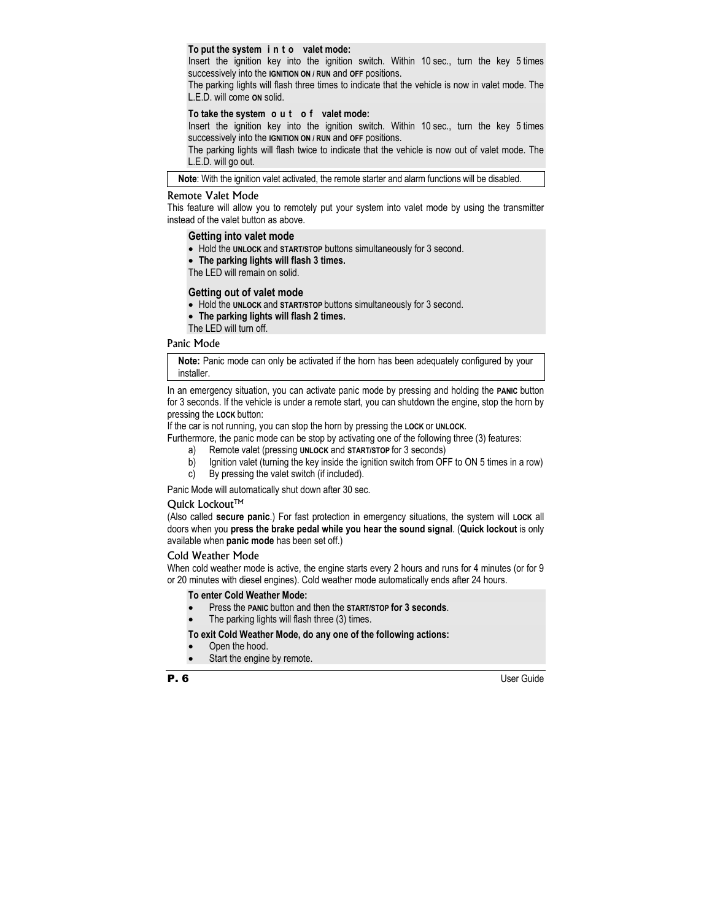#### **To put the system i n t o valet mode:**

Insert the ignition key into the ignition switch. Within 10 sec., turn the key 5 times successively into the **IGNITION ON / RUN** and **OFF** positions.

The parking lights will flash three times to indicate that the vehicle is now in valet mode. The L.E.D. will come **ON** solid.

#### **To take the system o u t o f valet mode:**

Insert the ignition key into the ignition switch. Within 10 sec., turn the key 5 times successively into the **IGNITION ON / RUN** and **OFF** positions.

The parking lights will flash twice to indicate that the vehicle is now out of valet mode. The L.E.D. will go out.

**Note**: With the ignition valet activated, the remote starter and alarm functions will be disabled.

#### Remote Valet Mode

This feature will allow you to remotely put your system into valet mode by using the transmitter instead of the valet button as above.

#### **Getting into valet mode**

- Hold the **UNLOCK** and **START/STOP** buttons simultaneously for 3 second.
- **The parking lights will flash 3 times.**

The LED will remain on solid.

#### **Getting out of valet mode**

- Hold the **UNLOCK** and **START/STOP** buttons simultaneously for 3 second.
- **The parking lights will flash 2 times.**
- The LED will turn off.

#### Panic Mode

**Note:** Panic mode can only be activated if the horn has been adequately configured by your installer.

In an emergency situation, you can activate panic mode by pressing and holding the **PANIC** button for 3 seconds. If the vehicle is under a remote start, you can shutdown the engine, stop the horn by pressing the **LOCK** button:

If the car is not running, you can stop the horn by pressing the **LOCK** or **UNLOCK**.

Furthermore, the panic mode can be stop by activating one of the following three (3) features:

- a) Remote valet (pressing **UNLOCK** and **START/STOP** for 3 seconds)
- b) Ignition valet (turning the key inside the ignition switch from OFF to ON 5 times in a row)
- c) By pressing the valet switch (if included).

Panic Mode will automatically shut down after 30 sec.

#### Quick Lockout™

(Also called **secure panic**.) For fast protection in emergency situations, the system will **LOCK** all doors when you **press the brake pedal while you hear the sound signal**. (**Quick lockout** is only available when **panic mode** has been set off.)

#### Cold Weather Mode

When cold weather mode is active, the engine starts every 2 hours and runs for 4 minutes (or for 9 or 20 minutes with diesel engines). Cold weather mode automatically ends after 24 hours.

#### **To enter Cold Weather Mode:**

- Press the **PANIC** button and then the **START/STOP for 3 seconds**.
- The parking lights will flash three (3) times.

#### **To exit Cold Weather Mode, do any one of the following actions:**

- Open the hood.
- Start the engine by remote.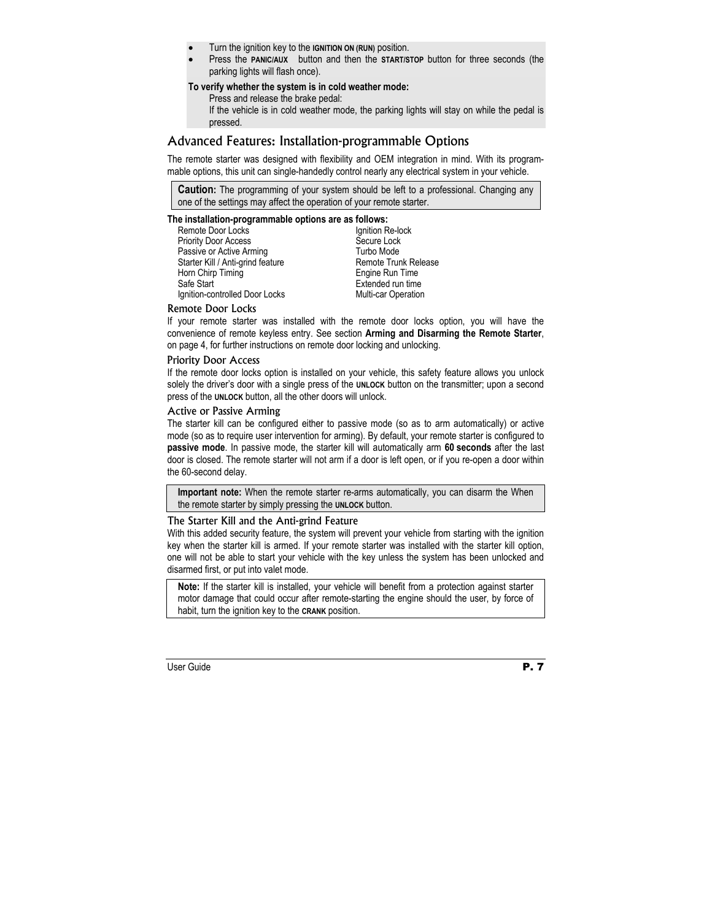- Turn the ignition key to the **IGNITION ON (RUN)** position.
- Press the **PANIC/AUX** button and then the **START/STOP** button for three seconds (the parking lights will flash once).

#### **To verify whether the system is in cold weather mode:**

Press and release the brake pedal:

If the vehicle is in cold weather mode, the parking lights will stay on while the pedal is pressed.

## Advanced Features: Installation-programmable Options

The remote starter was designed with flexibility and OEM integration in mind. With its programmable options, this unit can single-handedly control nearly any electrical system in your vehicle.

**Caution:** The programming of your system should be left to a professional. Changing any one of the settings may affect the operation of your remote starter.

#### **The installation-programmable options are as follows:**

Remote Door Locks Priority Door Access Passive or Active Arming Starter Kill / Anti-grind feature Horn Chirp Timing Safe Start Ignition-controlled Door Locks

Ignition Re-lock Secure Lock Turbo Mode Remote Trunk Release Engine Run Time Extended run time Multi-car Operation

#### Remote Door Locks

If your remote starter was installed with the remote door locks option, you will have the convenience of remote keyless entry. See section **Arming and Disarming the Remote Starter**, on page 4, for further instructions on remote door locking and unlocking.

#### Priority Door Access

If the remote door locks option is installed on your vehicle, this safety feature allows you unlock solely the driver's door with a single press of the **UNLOCK** button on the transmitter; upon a second press of the **UNLOCK** button, all the other doors will unlock.

#### Active or Passive Arming

The starter kill can be configured either to passive mode (so as to arm automatically) or active mode (so as to require user intervention for arming). By default, your remote starter is configured to **passive mode**. In passive mode, the starter kill will automatically arm **60 seconds** after the last door is closed. The remote starter will not arm if a door is left open, or if you re-open a door within the 60-second delay.

**Important note:** When the remote starter re-arms automatically, you can disarm the When the remote starter by simply pressing the **UNLOCK** button.

#### The Starter Kill and the Anti-grind Feature

With this added security feature, the system will prevent your vehicle from starting with the ignition key when the starter kill is armed. If your remote starter was installed with the starter kill option, one will not be able to start your vehicle with the key unless the system has been unlocked and disarmed first, or put into valet mode.

**Note:** If the starter kill is installed, your vehicle will benefit from a protection against starter motor damage that could occur after remote-starting the engine should the user, by force of habit, turn the ignition key to the **CRANK** position.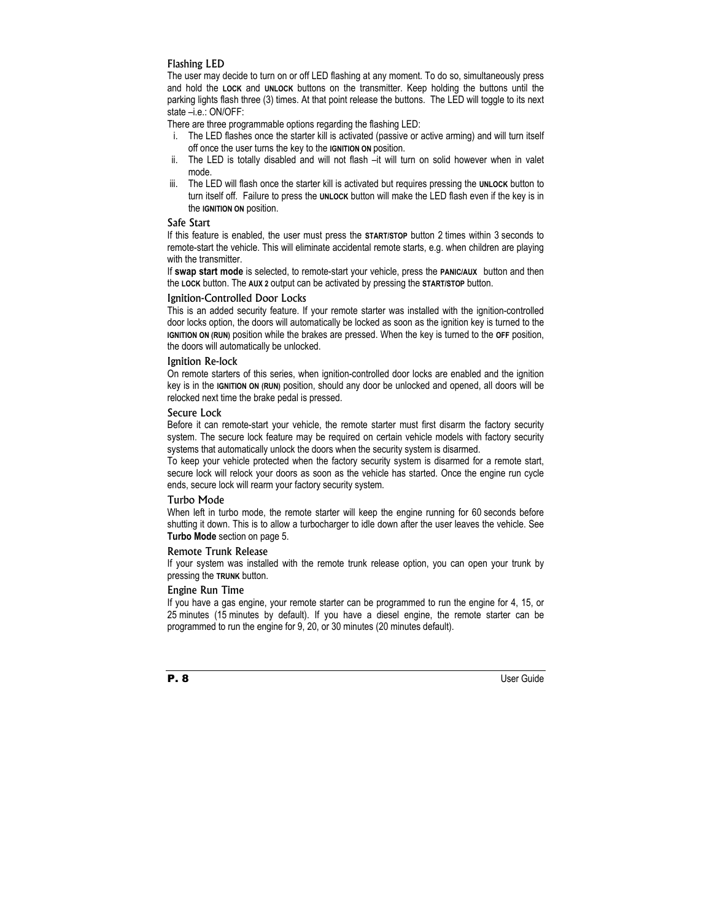#### Flashing LED

The user may decide to turn on or off LED flashing at any moment. To do so, simultaneously press and hold the **LOCK** and **UNLOCK** buttons on the transmitter. Keep holding the buttons until the parking lights flash three (3) times. At that point release the buttons. The LED will toggle to its next state –i.e.: ON/OFF:

There are three programmable options regarding the flashing LED:

- i. The LED flashes once the starter kill is activated (passive or active arming) and will turn itself off once the user turns the key to the **IGNITION ON** position.
- ii. The LED is totally disabled and will not flash –it will turn on solid however when in valet mode.
- iii. The LED will flash once the starter kill is activated but requires pressing the **UNLOCK** button to turn itself off. Failure to press the **UNLOCK** button will make the LED flash even if the key is in the **IGNITION ON** position.

#### Safe Start

If this feature is enabled, the user must press the **START/STOP** button 2 times within 3 seconds to remote-start the vehicle. This will eliminate accidental remote starts, e.g. when children are playing with the transmitter.

If **swap start mode** is selected, to remote-start your vehicle, press the **PANIC/AUX** button and then the **LOCK** button. The **AUX 2** output can be activated by pressing the **START/STOP** button.

#### Ignition-Controlled Door Locks

This is an added security feature. If your remote starter was installed with the ignition-controlled door locks option, the doors will automatically be locked as soon as the ignition key is turned to the **IGNITION ON (RUN)** position while the brakes are pressed. When the key is turned to the **OFF** position, the doors will automatically be unlocked.

#### Ignition Re-lock

On remote starters of this series, when ignition-controlled door locks are enabled and the ignition key is in the **IGNITION ON (RUN)** position, should any door be unlocked and opened, all doors will be relocked next time the brake pedal is pressed.

#### Secure Lock

Before it can remote-start your vehicle, the remote starter must first disarm the factory security system. The secure lock feature may be required on certain vehicle models with factory security systems that automatically unlock the doors when the security system is disarmed.

To keep your vehicle protected when the factory security system is disarmed for a remote start, secure lock will relock your doors as soon as the vehicle has started. Once the engine run cycle ends, secure lock will rearm your factory security system.

#### Turbo Mode

When left in turbo mode, the remote starter will keep the engine running for 60 seconds before shutting it down. This is to allow a turbocharger to idle down after the user leaves the vehicle. See **Turbo Mode** section on page 5.

#### Remote Trunk Release

If your system was installed with the remote trunk release option, you can open your trunk by pressing the **TRUNK** button.

#### Engine Run Time

If you have a gas engine, your remote starter can be programmed to run the engine for 4, 15, or 25 minutes (15 minutes by default). If you have a diesel engine, the remote starter can be programmed to run the engine for 9, 20, or 30 minutes (20 minutes default).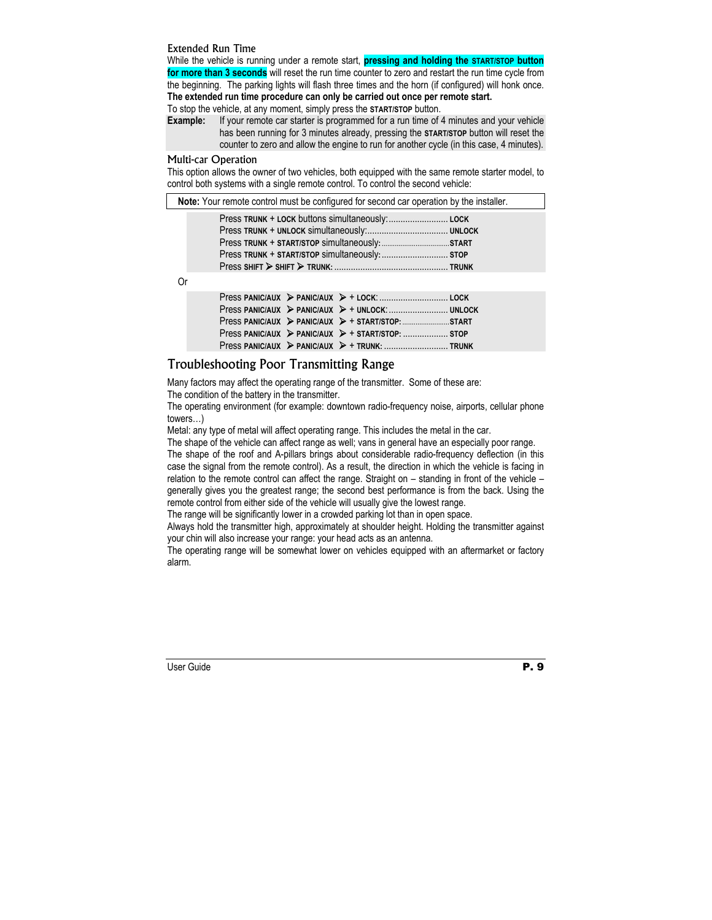#### Extended Run Time

While the vehicle is running under a remote start, **pressing and holding the START/STOP button for more than 3 seconds** will reset the run time counter to zero and restart the run time cycle from the beginning. The parking lights will flash three times and the horn (if configured) will honk once. **The extended run time procedure can only be carried out once per remote start.** 

To stop the vehicle, at any moment, simply press the **START/STOP** button.

**Example:** If your remote car starter is programmed for a run time of 4 minutes and your vehicle has been running for 3 minutes already, pressing the **START/STOP** button will reset the counter to zero and allow the engine to run for another cycle (in this case, 4 minutes).

#### Multi-car Operation

This option allows the owner of two vehicles, both equipped with the same remote starter model, to control both systems with a single remote control. To control the second vehicle:

**Note:** Your remote control must be configured for second car operation by the installer.

Or

|  | $Press PANICIAUX$ PANIC/AUX $\triangleright$ + START/STOP: START START |  |
|--|------------------------------------------------------------------------|--|
|  |                                                                        |  |
|  |                                                                        |  |

## Troubleshooting Poor Transmitting Range

Many factors may affect the operating range of the transmitter. Some of these are: The condition of the battery in the transmitter.

The operating environment (for example: downtown radio-frequency noise, airports, cellular phone towers…)

Metal: any type of metal will affect operating range. This includes the metal in the car.

The shape of the vehicle can affect range as well; vans in general have an especially poor range.

The shape of the roof and A-pillars brings about considerable radio-frequency deflection (in this case the signal from the remote control). As a result, the direction in which the vehicle is facing in relation to the remote control can affect the range. Straight on – standing in front of the vehicle – generally gives you the greatest range; the second best performance is from the back. Using the remote control from either side of the vehicle will usually give the lowest range.

The range will be significantly lower in a crowded parking lot than in open space.

Always hold the transmitter high, approximately at shoulder height. Holding the transmitter against your chin will also increase your range: your head acts as an antenna.

The operating range will be somewhat lower on vehicles equipped with an aftermarket or factory alarm.